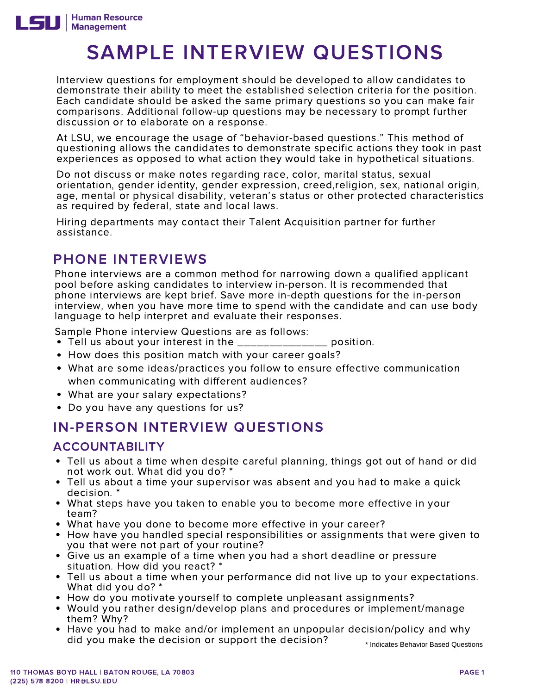

# SAMPLE INTERVIEW QUESTIONS

 Interview questions for employment should be developed to allow candidates to demonstrate their ability to meet the established selection criteria for the position. Each candidate should be asked the same primary questions so you can make fair comparisons. Additional follow-up questions may be necessary to prompt further discussion or to elaborate on a response.

 At LSU, we encourage the usage of "behavior-based questions." This method of questioning allows the candidates to demonstrate specific actions they took in past experiences as opposed to what action they would take in hypothetical situations.

 Do not discuss or make notes regarding race, color, marital status, sexual orientation, gender identity, gender expression, creed,religion, sex, national origin,<br>age, mental or physical disability, veteran's status or other protected characteristics as required by federal, state and local laws.

 Hiring departments may contact their Talent Acquisition partner for further assistance.

# PHONE INTERVIEWS

 Phone interviews are a common method for narrowing down a qualified applicant pool before asking candidates to interview in-person. It is recommended that phone interviews are kept brief. Save more in-depth questions for the in-person interview, when you have more time to spend with the candidate and can use body language to help interpret and evaluate their responses.

Sample Phone interview Questions are as follows:

- mpre memoral internet assessed are as rememer<br>Tell us about your interest in the \_\_\_\_\_\_\_\_\_\_\_\_\_\_\_\_\_ position.
- How does this position match with your career goals?
- What are some ideas/practices you follow to ensure effective communication when communicating with different audiences?
- What are your salary expectations?
- Do you have any questions for us?

## IN-PERSON INTERVIEW QUESTIONS

#### ACCOUNTABILITY

- Tell us about a time when despite careful planning, things got out of hand or did not work out. What did you do? \*<br>not work out. What did you do? \*<br>Tell us about a time your supervisor was absent and you had to make a quick .
- decision. \* What steps have you taken to enable you to become more effective in your
- team?
- What have you done to become more effective in your career?
- How have you handled special responsibilities or assignments that were given to you that were not part of your routine?
- Give us an example of a time when you had a short deadline or pressure situation. How did you react? \*
- Tell us about a time when your performance did not live up to your expectations. What did you do? \*
- How do you motivate yourself to complete unpleasant assignments?
- Would you rather design/develop plans and procedures or implement/manage them? Why?
- Have you had to make and/or implement an unpopular decision/policy and why did you make the decision or support the decision? \* Indicates Behavior Based Questions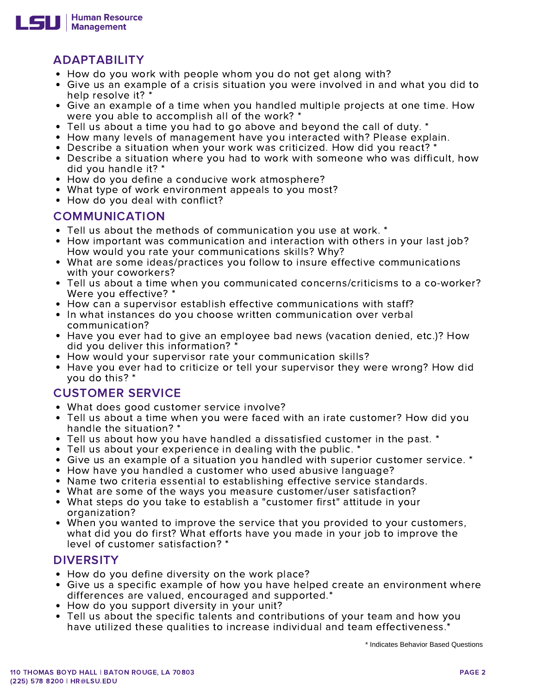

- How do you work with people whom you do not get along with?
- Give us an example of a crisis situation you were involved in and what you did to help resolve it? \*
- Give an example of a time when you handled multiple projects at one time. How were you able to accomplish all of the work? \*
- Tell us about a time you had to go above and beyond the call of duty. \*
- How many levels of management have you interacted with? Please explain.
- Describe a situation when your work was criticized. How did you react? \*
- Describe a situation where you had to work with someone who was difficult, how did you handle it? \*
- How do you define a conducive work atmosphere?
- What type of work environment appeals to you most?
- How do you deal with conflict?

#### COMMUNICATION

- Tell us about the methods of communication you use at work. \*
- How important was communication and interaction with others in your last job? How would you rate your communications skills? Why?
- What are some ideas/practices you follow to insure effective communications with your coworkers?
- Tell us about a time when you communicated concerns/criticisms to a co-worker? Were you effective? \*
- How can a supervisor establish effective communications with staff?
- In what instances do you choose written communication over verbal communication?
- Have you ever had to give an employee bad news (vacation denied, etc.)? How did you deliver this information? \*
- How would your supervisor rate your communication skills?
- you do this? \* • Have you ever had to criticize or tell your supervisor they were wrong? How did

#### CUSTOMER SERVICE

- What does good customer service involve?
- Tell us about a time when you were faced with an irate customer? How did you handle the situation? \*
- Tell us about how you have handled a dissatisfied customer in the past. \*
- Tell us about your experience in dealing with the public. \*
- Give us an example of a situation you handled with superior customer service. \*<br>How have you handled a customer who used abusive language?
- How have you handled a customer who used abusive language?
- Name two criteria essential to establishing effective service standards.
- What are some of the ways you measure customer/user satisfaction?
- What steps do you take to establish a "customer first" attitude in your organization?
- When you wanted to improve the service that you provided to your customers, what did you do first? What efforts have you made in your job to improve the level of customer satisfaction? \* ADAPTABILITY<br>
and or you work with people whom you do not get along Y<br>
1 How do you work with people whom you do not get along y<br>
clive us an example of a crisis situation you were involved if<br>  $\sim$  Fell us about a time yo

#### **DIVERSITY**

- How do you define diversity on the work place?
- Give us a specific example of how you have helped create an environment where differences are valued, encouraged and supported.\*
- How do you support diversity in your unit?
- Tell us about the specific talents and contributions of your team and how you have utilized these qualities to increase individual and team effectiveness.\*

\* Indicates Behavior Based Questions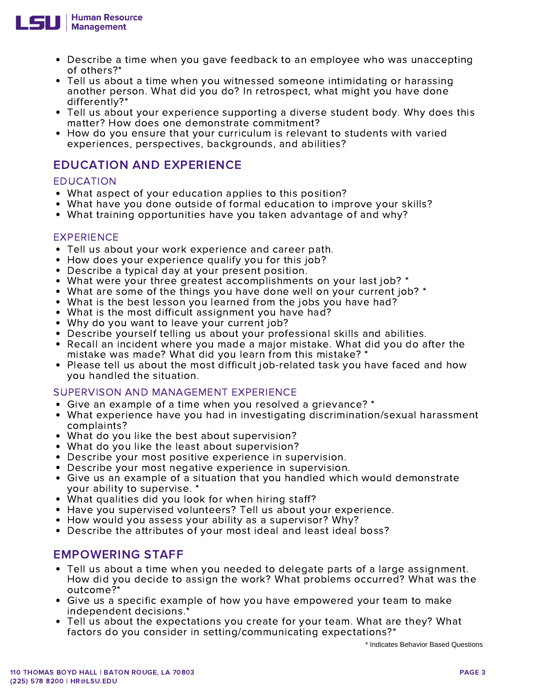

- Describe a time when you gave feedback to an employee who was unaccepting of others?\*
- Tell us about a time when you witnessed someone intimidating or harassing another person. What did you do? In retrospect, what might you have done differently?\*
- Tell us about your experience supporting a diverse student body. Why does this matter? How does one demonstrate commitment?
- experiences, perspectives, backgrounds, and abilities? • How do you ensure that your curriculum is relevant to students with varied

### EDUCATION AND EXPERIENCE

#### EDUCATION

- What aspect of your education applies to this position?
- What have you done outside of formal education to improve your skills?
- What training opportunities have you taken advantage of and why?

#### EXPERIENCE

- Tell us about your work experience and career path.
- How does your experience qualify you for this job?
- Describe a typical day at your present position.
- What were your three greatest accomplishments on your last job? \*
- What are some of the things you have done well on your current job? \*
- What is the best lesson you learned from the jobs you have had?
- What is the most difficult assignment you have had?
- Why do you want to leave your current job?
- Describe yourself telling us about your professional skills and abilities.
- Recall an incident where you made a major mistake. What did you do after the mistake was made? What did you learn from this mistake? \*
- Please tell us about the most difficult job-related task you have faced and how you handled the situation.

#### SUPERVISON AND MANAGEMENT EXPERIENCE

- Give an example of a time when you resolved a grievance? \*
- What experience have you had in investigating discrimination/sexual harassment complaints?
- What do you like the best about supervision?
- What do you like the least about supervision?
- Describe your most positive experience in supervision. Describe your most negative experience in supervision.
- Describe your most negative experience in supervision.
- Give us an example of a situation that you handled which would demonstrate your ability to supervise. \*
- What qualities did you look for when hiring staff?
- Have you supervised volunteers? Tell us about your experience.
- How would you assess your ability as a supervisor? Why?
- Describe the attributes of your most ideal and least ideal boss?

#### EMPOWERING STAFF

- Tell us about a time when you needed to delegate parts of a large assignment. How did you decide to assign the work? What problems occurred? What was the Describe a time when you gave feedback to an employee who was unaccepting<br>of others?"<br>Tell is a sbout a time when you will exacted smecone intimidating on haressing<br>antifere pyton. What did you do? In retrospect, what migh outcome?\*
- Give us a specific example of how you have empowered your team to make independent decisions.\*
- Tell us about the expectations you create for your team. What are they? What factors do you consider in setting/communicating expectations?\*

\* Indicates Behavior Based Questions